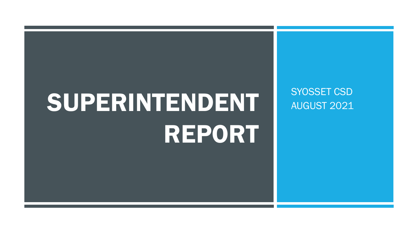# SUPERINTENDENT REPORT

SYOSSET CSD AUGUST 2021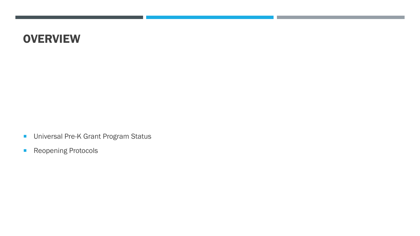### **OVERVIEW**

- **Universal Pre-K Grant Program Status**
- **Reopening Protocols**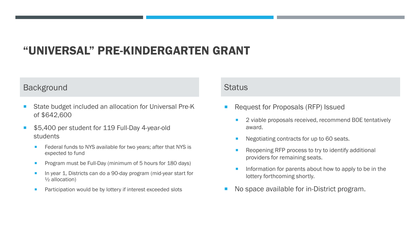## "UNIVERSAL" PRE-KINDERGARTEN GRANT

#### Background

- State budget included an allocation for Universal Pre-K of \$642,600
- \$5,400 per student for 119 Full-Day 4-year-old students
	- Federal funds to NYS available for two years; after that NYS is expected to fund
	- **Program must be Full-Day (minimum of 5 hours for 180 days)**
	- In year 1, Districts can do a 90-day program (mid-year start for ½ allocation)
	- **Participation would be by lottery if interest exceeded slots**

#### **Status**

- Request for Proposals (RFP) Issued
	- **2** viable proposals received, recommend BOE tentatively award.
	- **Negotiating contracts for up to 60 seats.**
	- **Reopening RFP process to try to identify additional** providers for remaining seats.
	- **Information for parents about how to apply to be in the** lottery forthcoming shortly.
- No space available for in-District program.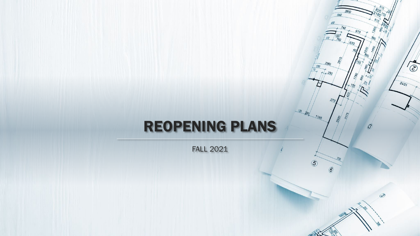## REOPENING PLANS

FALL 2021

*I* 

 $+$  810

20180<sup>750</sup><br>5940 8850 2180<sup>150</sup>

 $\frac{1}{2}$ 

150

2810

970

 $2560$ 

 $+250$ 

 $270$ 

3175 2500

3100

 $\circledcirc$ 

 $\overline{Q}$ 

 $\odot$ 

1250

 $-$ 1125  $250$ 

 $\circledS$ 

 $2750, 120$ 

*"15* ,•, <sup>J</sup> ~

' I

 $\widetilde{\circ}$ 

 $OLO_L$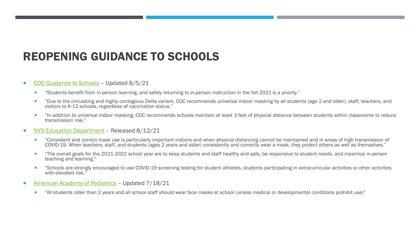## REOPENING GUIDANCE TO SCHOOLS

#### [CDC Guidance to Schools](https://www.cdc.gov/coronavirus/2019-ncov/community/schools-childcare/k-12-guidance.html) – Updated 8/5/21

- "Students benefit from in-person learning, and safely returning to in-person instruction in the fall 2021 is a priority."
- "Due to the circulating and highly contagious Delta variant, CDC recommends universal indoor masking by all students (age 2 and older), staff, teachers, and visitors to K-12 schools, regardless of vaccination status."
- "In addition to universal indoor masking, CDC recommends schools maintain at least 3 feet of physical distance between students within classrooms to reduce transmission risk."
- [NYS Education Department](http://www.nysed.gov/back-school/health-and-safety-guide-2021-2022-school-year)  Released 8/12/21
	- "Consistent and correct mask use is particularly important indoors and when physical distancing cannot be maintained and in areas of high transmission of COVID-19. When teachers, staff, and students (ages 2 years and older) consistently and correctly wear a mask, they protect others as well as themselves."
	- "The overall goals for the 2021-2022 school year are to keep students and staff healthy and safe, be responsive to student needs, and maximize in-person teaching and learning."
	- Schools are strongly encouraged to use COVID-19 screening testing for student athletes, students participating in extracurricular activities or other activities with elevated risk.'
- **[American Academy of Pediatrics](https://services.aap.org/en/pages/2019-novel-coronavirus-covid-19-infections/clinical-guidance/covid-19-planning-considerations-return-to-in-person-education-in-schools/)  Updated 7/18/21** 
	- "All students older than 2 years and all school staff should wear face masks at school (unless medical or developmental conditions prohibit use)"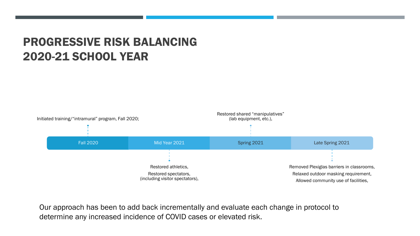## PROGRESSIVE RISK BALANCING 2020-21 SCHOOL YEAR



 Our approach has been to add back incrementally and evaluate each change in protocol to determine any increased incidence of COVID cases or elevated risk.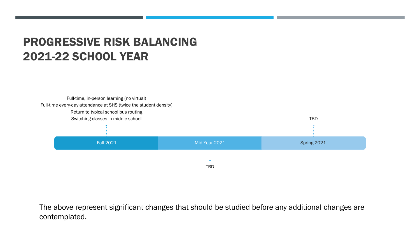## PROGRESSIVE RISK BALANCING 2021-22 SCHOOL YEAR



 The above represent significant changes that should be studied before any additional changes are contemplated.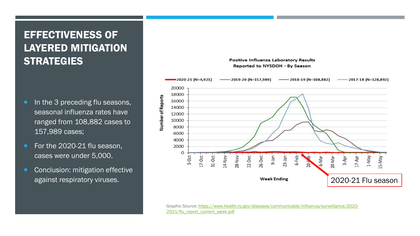### EFFECTIVENESS OF LAYERED MITIGATION **STRATEGIES**

- In the 3 preceding flu seasons, ranged from 108,882 cases to seasonal influenza rates have 157,989 cases;
- For the 2020-21 flu season, cases were under 5,000.
- Conclusion: mitigation effective

![](_page_7_Figure_4.jpeg)

**Positive Influenza Laboratory Results Reported to NYSDOH - By Season** 

[Graphic Source: https://www.health.ny.gov/diseases/communicable/influenza/surveillance/2020-](https://www.health.ny.gov/diseases/communicable/influenza/surveillance/2020-2021/flu_report_current_week.pdf) 2021/flu\_report\_current\_week.pdf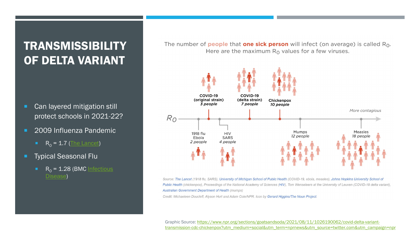## TRANSMISSIBILITY OF DELTA VARIANT

- **Can layered mitigation still** protect schools in 2021-22?
- 2009 Influenza Pandemic
	- R<sub>0</sub> = 1.7 [\(The Lancet](https://www.thelancet.com/pdfs/journals/laninf/PIIS1473-3099%2820%2930484-9.pdf))
- **Typical Seasonal Flu** 
	- R<sub>0</sub> =  $1.28$  (BMC Infectious Disease)

The number of **people** that **one sick person** will infect (on average) is called  $R_0$ . Here are the maximum  $R_0$  values for a few viruses.

![](_page_8_Figure_7.jpeg)

Source: The Lancet (1918 flu, SARS), University of Michigan School of Public Health (COVID-19, ebola, measles), Johns Hopkins University School of Public Health (chickenpox), Proceedings of the National Academy of Sciences (HIV), Tom Wenseleers at the University of Leuven (COVID-19 delta variant), Australian Government Department of Health (mumps)

Credit: Michaeleen Doucleff, Alyson Hurt and Adam Cole/NPR. Icon by Gerard Higgins/The Noun Project.

[Graphic Source: https://www.npr.org/sections/goatsandsoda/2021/08/11/1026190062/covid-delta-variant](https://www.npr.org/sections/goatsandsoda/2021/08/11/1026190062/covid-delta-variant-transmission-cdc-chickenpox?utm_medium=social&utm_term=nprnews&utm_source=twitter.com&utm_campaign=npr)transmission-cdc-chickenpox?utm\_medium=social&utm\_term=nprnews&utm\_source=twitter.com&utm\_campaign=npr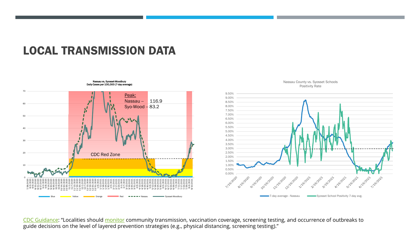#### LOCAL TRANSMISSION DATA

![](_page_9_Figure_1.jpeg)

Nassau vs. Syosset-Woodbury

![](_page_9_Figure_2.jpeg)

[CDC Guidance](https://www.cdc.gov/coronavirus/2019-ncov/community/schools-childcare/k-12-guidance.html): "Localities should [monitor](https://www.syossetschools.org/Page/871) community transmission, vaccination coverage, screening testing, and occurrence of outbreaks to guide decisions on the level of layered prevention strategies (e.g., physical distancing, screening testing)."

![](_page_9_Figure_4.jpeg)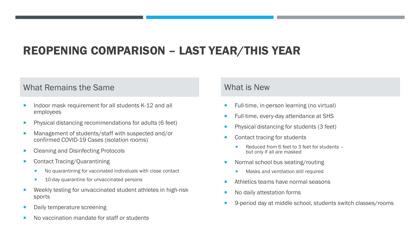## REOPENING COMPARISON – LAST YEAR/THIS YEAR

#### What Remains the Same

- Indoor mask requirement for all students K-12 and all employees
- **Physical distancing recommendations for adults (6 feet)**
- Management of students/staff with suspected and/or confirmed COVID-19 Cases (isolation rooms)
- Cleaning and Disinfecting Protocols
- Contact Tracing/Quarantining
	- No quarantining for vaccinated individuals with close contact
	- 10-day quarantine for unvaccinated persons
- **Weekly testing for unvaccinated student athletes in high-risk** sports
- Daily temperature screening
- No vaccination mandate for staff or students

#### What is New

- Full-time, in-person learning (no virtual)
- Full-time, every-day attendance at SHS
- Physical distancing for students (3 feet)
- **Contact tracing for students** 
	- Reduced from 6 feet to 3 feet for students but only if all are masked
- Normal school bus seating/routing
	- Masks and ventilation still required
- Athletics teams have normal seasons
- No daily attestation forms
- 9-period day at middle school, students switch classes/rooms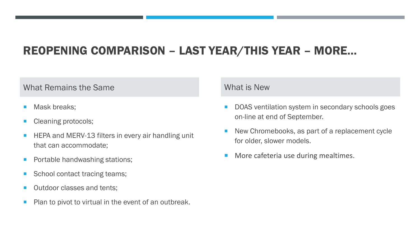## REOPENING COMPARISON – LAST YEAR/THIS YEAR – MORE…

#### What Remains the Same

- Mask breaks;
- **Cleaning protocols;**
- **HEPA and MERV-13 filters in every air handling unit** that can accommodate;
- **Portable handwashing stations;**
- School contact tracing teams;
- **Outdoor classes and tents;**
- **Plan to pivot to virtual in the event of an outbreak.**

#### What is New

- DOAS ventilation system in secondary schools goes on-line at end of September.
- New Chromebooks, as part of a replacement cycle for older, slower models.
- **More cafeteria use during mealtimes.**